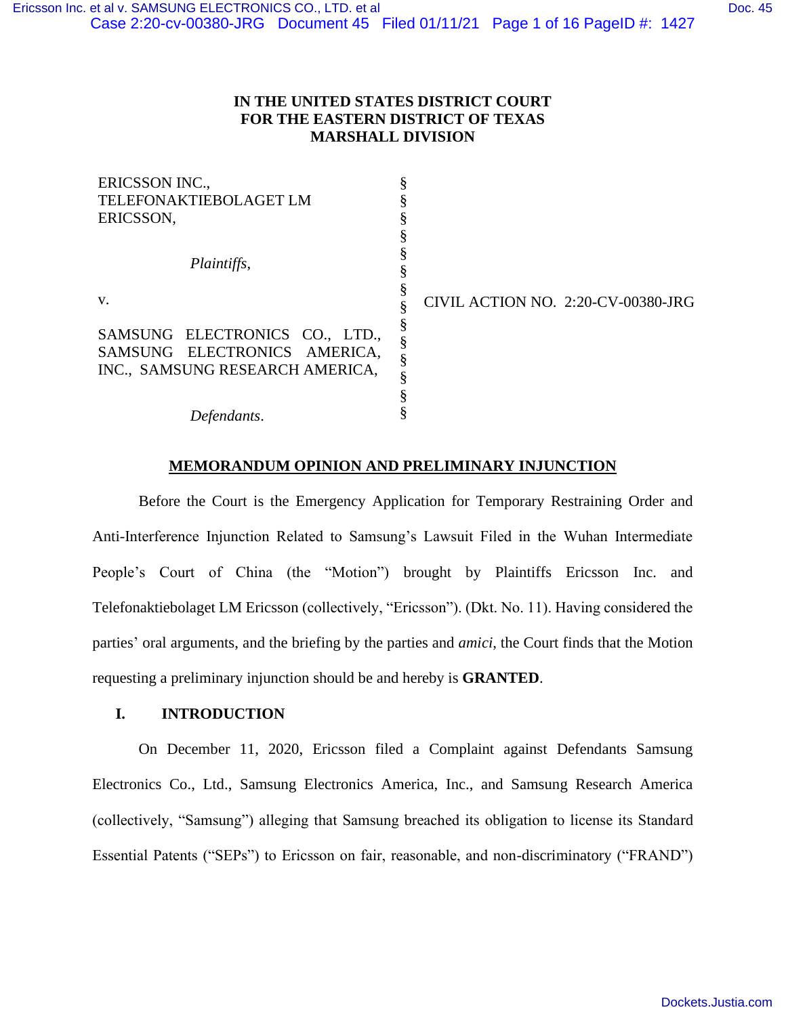# **IN THE UNITED STATES DISTRICT COURT FOR THE EASTERN DISTRICT OF TEXAS MARSHALL DIVISION**

| ERICSSON INC.,                  |                                    |
|---------------------------------|------------------------------------|
| <b>TELEFONAKTIEBOLAGET LM</b>   |                                    |
| ERICSSON,                       |                                    |
| Plaintiffs,                     |                                    |
|                                 |                                    |
|                                 |                                    |
|                                 |                                    |
| V.                              | CIVIL ACTION NO. 2:20-CV-00380-JRG |
| SAMSUNG ELECTRONICS CO., LTD.,  |                                    |
| SAMSUNG ELECTRONICS AMERICA,    |                                    |
| INC., SAMSUNG RESEARCH AMERICA, |                                    |
|                                 |                                    |
|                                 |                                    |
| Defendants.                     |                                    |

## **MEMORANDUM OPINION AND PRELIMINARY INJUNCTION**

Before the Court is the Emergency Application for Temporary Restraining Order and Anti-Interference Injunction Related to Samsung's Lawsuit Filed in the Wuhan Intermediate People's Court of China (the "Motion") brought by Plaintiffs Ericsson Inc. and Telefonaktiebolaget LM Ericsson (collectively, "Ericsson"). (Dkt. No. 11). Having considered the parties' oral arguments, and the briefing by the parties and *amici*, the Court finds that the Motion requesting a preliminary injunction should be and hereby is **GRANTED**.

### **I. INTRODUCTION**

On December 11, 2020, Ericsson filed a Complaint against Defendants Samsung Electronics Co., Ltd., Samsung Electronics America, Inc., and Samsung Research America (collectively, "Samsung") alleging that Samsung breached its obligation to license its Standard Essential Patents ("SEPs") to Ericsson on fair, reasonable, and non-discriminatory ("FRAND")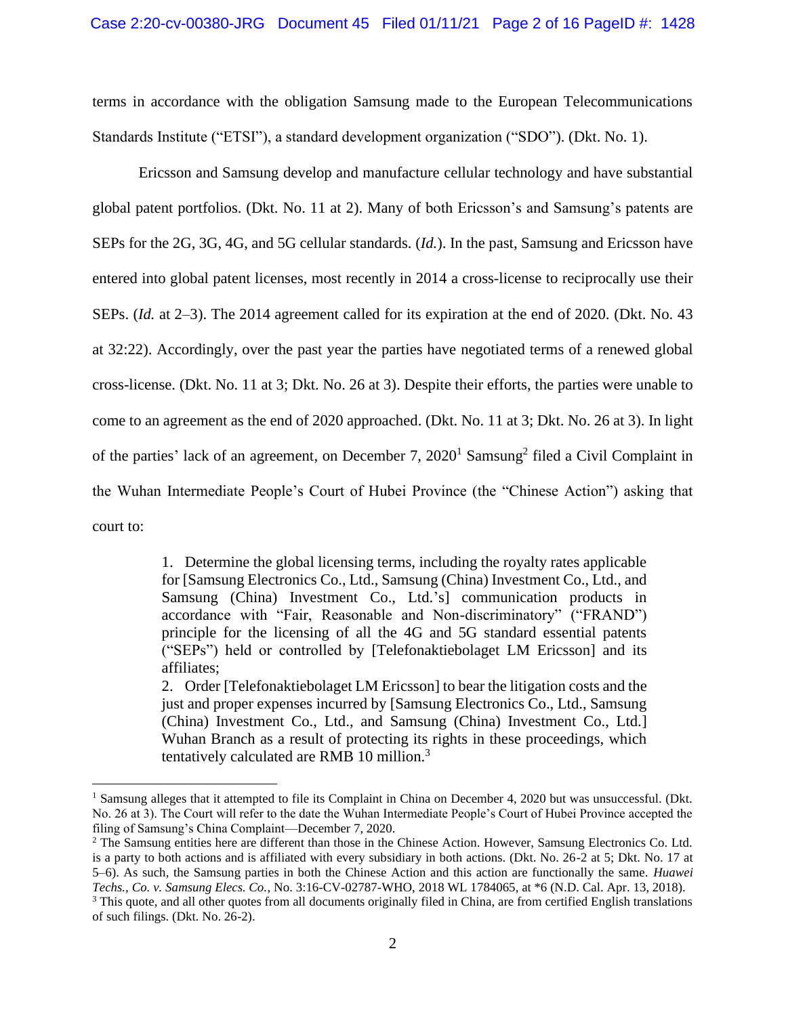terms in accordance with the obligation Samsung made to the European Telecommunications Standards Institute ("ETSI"), a standard development organization ("SDO"). (Dkt. No. 1).

Ericsson and Samsung develop and manufacture cellular technology and have substantial global patent portfolios. (Dkt. No. 11 at 2). Many of both Ericsson's and Samsung's patents are SEPs for the 2G, 3G, 4G, and 5G cellular standards. (*Id.*). In the past, Samsung and Ericsson have entered into global patent licenses, most recently in 2014 a cross-license to reciprocally use their SEPs. (*Id.* at 2–3). The 2014 agreement called for its expiration at the end of 2020. (Dkt. No. 43 at 32:22). Accordingly, over the past year the parties have negotiated terms of a renewed global cross-license. (Dkt. No. 11 at 3; Dkt. No. 26 at 3). Despite their efforts, the parties were unable to come to an agreement as the end of 2020 approached. (Dkt. No. 11 at 3; Dkt. No. 26 at 3). In light of the parties' lack of an agreement, on December 7, 2020<sup>1</sup> Samsung<sup>2</sup> filed a Civil Complaint in the Wuhan Intermediate People's Court of Hubei Province (the "Chinese Action") asking that court to:

> 1. Determine the global licensing terms, including the royalty rates applicable for [Samsung Electronics Co., Ltd., Samsung (China) Investment Co., Ltd., and Samsung (China) Investment Co., Ltd.'s] communication products in accordance with "Fair, Reasonable and Non-discriminatory" ("FRAND") principle for the licensing of all the 4G and 5G standard essential patents ("SEPs") held or controlled by [Telefonaktiebolaget LM Ericsson] and its affiliates;

> 2. Order [Telefonaktiebolaget LM Ericsson] to bear the litigation costs and the just and proper expenses incurred by [Samsung Electronics Co., Ltd., Samsung (China) Investment Co., Ltd., and Samsung (China) Investment Co., Ltd.] Wuhan Branch as a result of protecting its rights in these proceedings, which tentatively calculated are RMB 10 million.<sup>3</sup>

<sup>&</sup>lt;sup>1</sup> Samsung alleges that it attempted to file its Complaint in China on December 4, 2020 but was unsuccessful. (Dkt. No. 26 at 3). The Court will refer to the date the Wuhan Intermediate People's Court of Hubei Province accepted the filing of Samsung's China Complaint—December 7, 2020.

<sup>&</sup>lt;sup>2</sup> The Samsung entities here are different than those in the Chinese Action. However, Samsung Electronics Co. Ltd. is a party to both actions and is affiliated with every subsidiary in both actions. (Dkt. No. 26-2 at 5; Dkt. No. 17 at 5–6). As such, the Samsung parties in both the Chinese Action and this action are functionally the same. *Huawei Techs., Co. v. Samsung Elecs. Co.*, No. 3:16-CV-02787-WHO, 2018 WL 1784065, at \*6 (N.D. Cal. Apr. 13, 2018).

<sup>&</sup>lt;sup>3</sup> This quote, and all other quotes from all documents originally filed in China, are from certified English translations of such filings. (Dkt. No. 26-2).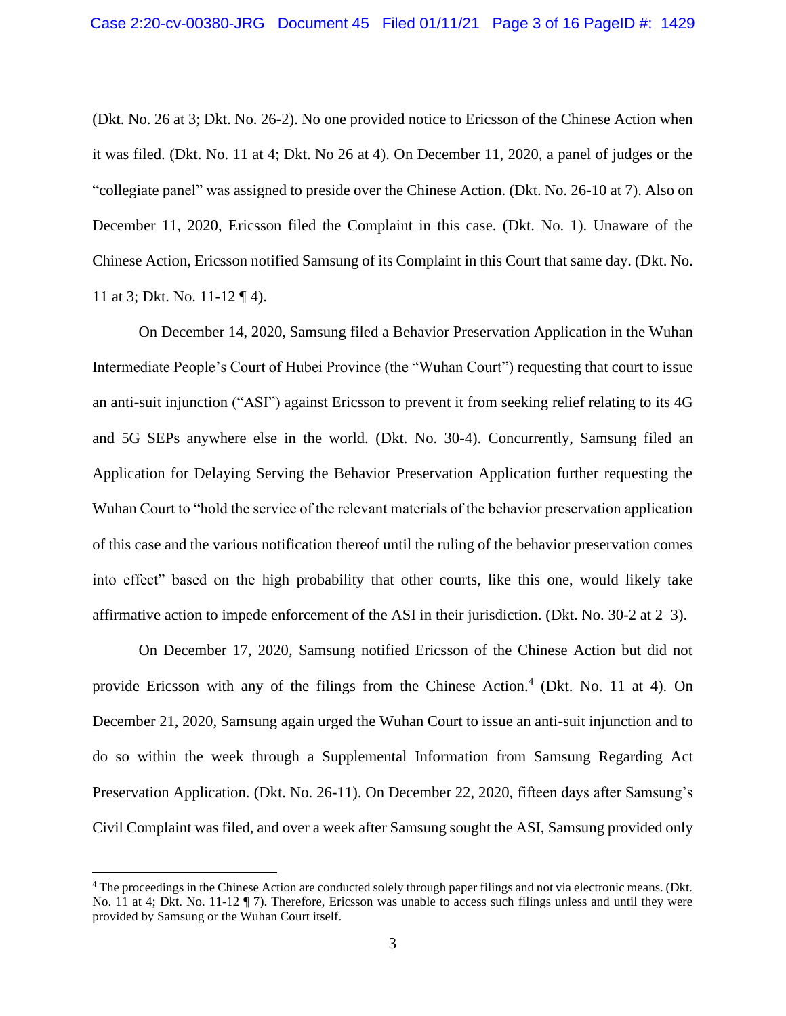(Dkt. No. 26 at 3; Dkt. No. 26-2). No one provided notice to Ericsson of the Chinese Action when it was filed. (Dkt. No. 11 at 4; Dkt. No 26 at 4). On December 11, 2020, a panel of judges or the "collegiate panel" was assigned to preside over the Chinese Action. (Dkt. No. 26-10 at 7). Also on December 11, 2020, Ericsson filed the Complaint in this case. (Dkt. No. 1). Unaware of the Chinese Action, Ericsson notified Samsung of its Complaint in this Court that same day. (Dkt. No. 11 at 3; Dkt. No. 11-12 ¶ 4).

On December 14, 2020, Samsung filed a Behavior Preservation Application in the Wuhan Intermediate People's Court of Hubei Province (the "Wuhan Court") requesting that court to issue an anti-suit injunction ("ASI") against Ericsson to prevent it from seeking relief relating to its 4G and 5G SEPs anywhere else in the world. (Dkt. No. 30-4). Concurrently, Samsung filed an Application for Delaying Serving the Behavior Preservation Application further requesting the Wuhan Court to "hold the service of the relevant materials of the behavior preservation application of this case and the various notification thereof until the ruling of the behavior preservation comes into effect" based on the high probability that other courts, like this one, would likely take affirmative action to impede enforcement of the ASI in their jurisdiction. (Dkt. No. 30-2 at 2–3).

On December 17, 2020, Samsung notified Ericsson of the Chinese Action but did not provide Ericsson with any of the filings from the Chinese Action. 4 (Dkt. No. 11 at 4). On December 21, 2020, Samsung again urged the Wuhan Court to issue an anti-suit injunction and to do so within the week through a Supplemental Information from Samsung Regarding Act Preservation Application. (Dkt. No. 26-11). On December 22, 2020, fifteen days after Samsung's Civil Complaint was filed, and over a week after Samsung sought the ASI, Samsung provided only

<sup>4</sup> The proceedings in the Chinese Action are conducted solely through paper filings and not via electronic means. (Dkt. No. 11 at 4; Dkt. No. 11-12 ¶ 7). Therefore, Ericsson was unable to access such filings unless and until they were provided by Samsung or the Wuhan Court itself.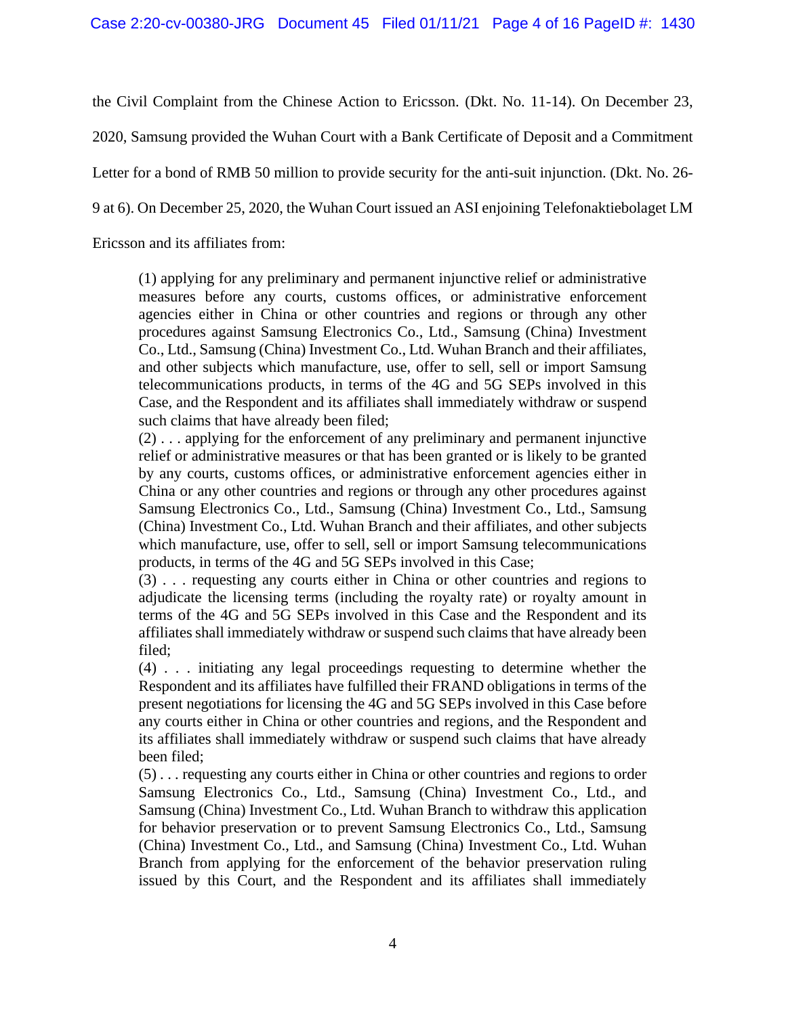the Civil Complaint from the Chinese Action to Ericsson. (Dkt. No. 11-14). On December 23,

2020, Samsung provided the Wuhan Court with a Bank Certificate of Deposit and a Commitment

Letter for a bond of RMB 50 million to provide security for the anti-suit injunction. (Dkt. No. 26-

9 at 6). On December 25, 2020, the Wuhan Court issued an ASI enjoining Telefonaktiebolaget LM

Ericsson and its affiliates from:

(1) applying for any preliminary and permanent injunctive relief or administrative measures before any courts, customs offices, or administrative enforcement agencies either in China or other countries and regions or through any other procedures against Samsung Electronics Co., Ltd., Samsung (China) Investment Co., Ltd., Samsung (China) Investment Co., Ltd. Wuhan Branch and their affiliates, and other subjects which manufacture, use, offer to sell, sell or import Samsung telecommunications products, in terms of the 4G and 5G SEPs involved in this Case, and the Respondent and its affiliates shall immediately withdraw or suspend such claims that have already been filed;

(2) . . . applying for the enforcement of any preliminary and permanent injunctive relief or administrative measures or that has been granted or is likely to be granted by any courts, customs offices, or administrative enforcement agencies either in China or any other countries and regions or through any other procedures against Samsung Electronics Co., Ltd., Samsung (China) Investment Co., Ltd., Samsung (China) Investment Co., Ltd. Wuhan Branch and their affiliates, and other subjects which manufacture, use, offer to sell, sell or import Samsung telecommunications products, in terms of the 4G and 5G SEPs involved in this Case;

(3) . . . requesting any courts either in China or other countries and regions to adjudicate the licensing terms (including the royalty rate) or royalty amount in terms of the 4G and 5G SEPs involved in this Case and the Respondent and its affiliates shall immediately withdraw or suspend such claims that have already been filed;

(4) . . . initiating any legal proceedings requesting to determine whether the Respondent and its affiliates have fulfilled their FRAND obligations in terms of the present negotiations for licensing the 4G and 5G SEPs involved in this Case before any courts either in China or other countries and regions, and the Respondent and its affiliates shall immediately withdraw or suspend such claims that have already been filed;

(5) . . . requesting any courts either in China or other countries and regions to order Samsung Electronics Co., Ltd., Samsung (China) Investment Co., Ltd., and Samsung (China) Investment Co., Ltd. Wuhan Branch to withdraw this application for behavior preservation or to prevent Samsung Electronics Co., Ltd., Samsung (China) Investment Co., Ltd., and Samsung (China) Investment Co., Ltd. Wuhan Branch from applying for the enforcement of the behavior preservation ruling issued by this Court, and the Respondent and its affiliates shall immediately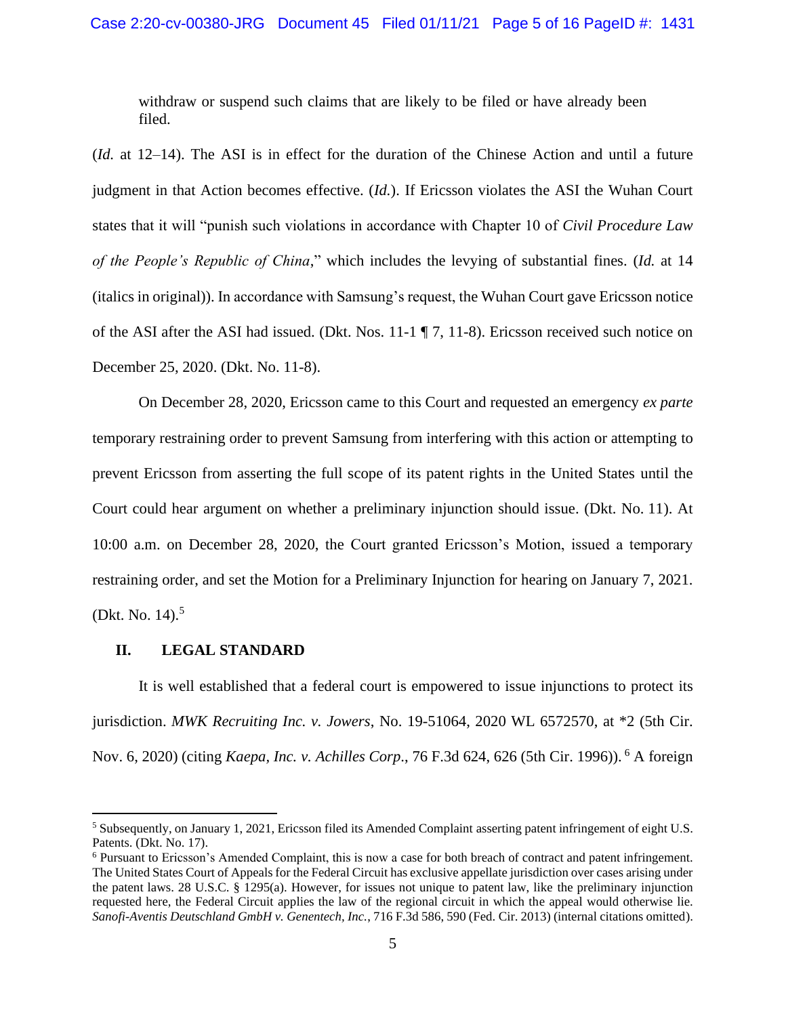withdraw or suspend such claims that are likely to be filed or have already been filed.

(*Id.* at 12–14). The ASI is in effect for the duration of the Chinese Action and until a future judgment in that Action becomes effective. (*Id.*). If Ericsson violates the ASI the Wuhan Court states that it will "punish such violations in accordance with Chapter 10 of *Civil Procedure Law of the People's Republic of China*," which includes the levying of substantial fines. (*Id.* at 14 (italics in original)). In accordance with Samsung's request, the Wuhan Court gave Ericsson notice of the ASI after the ASI had issued. (Dkt. Nos. 11-1 ¶ 7, 11-8). Ericsson received such notice on December 25, 2020. (Dkt. No. 11-8).

On December 28, 2020, Ericsson came to this Court and requested an emergency *ex parte* temporary restraining order to prevent Samsung from interfering with this action or attempting to prevent Ericsson from asserting the full scope of its patent rights in the United States until the Court could hear argument on whether a preliminary injunction should issue. (Dkt. No. 11). At 10:00 a.m. on December 28, 2020, the Court granted Ericsson's Motion, issued a temporary restraining order, and set the Motion for a Preliminary Injunction for hearing on January 7, 2021. (Dkt. No. 14).<sup>5</sup>

## **II. LEGAL STANDARD**

It is well established that a federal court is empowered to issue injunctions to protect its jurisdiction. *MWK Recruiting Inc. v. Jowers*, No. 19-51064, 2020 WL 6572570, at \*2 (5th Cir. Nov. 6, 2020) (citing *Kaepa, Inc. v. Achilles Corp*., 76 F.3d 624, 626 (5th Cir. 1996)). <sup>6</sup> A foreign

<sup>5</sup> Subsequently, on January 1, 2021, Ericsson filed its Amended Complaint asserting patent infringement of eight U.S. Patents. (Dkt. No. 17).

<sup>6</sup> Pursuant to Ericsson's Amended Complaint, this is now a case for both breach of contract and patent infringement. The United States Court of Appeals for the Federal Circuit has exclusive appellate jurisdiction over cases arising under the patent laws. 28 U.S.C. § 1295(a). However, for issues not unique to patent law, like the preliminary injunction requested here, the Federal Circuit applies the law of the regional circuit in which the appeal would otherwise lie. *Sanofi-Aventis Deutschland GmbH v. Genentech, Inc.*, 716 F.3d 586, 590 (Fed. Cir. 2013) (internal citations omitted).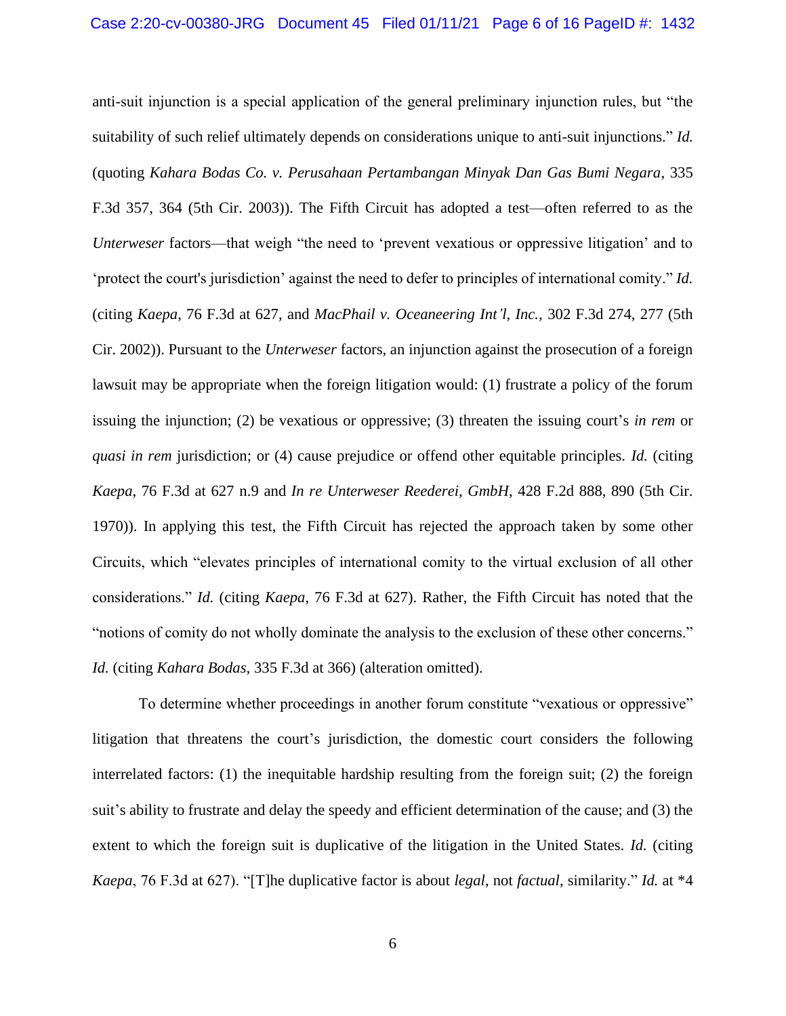anti-suit injunction is a special application of the general preliminary injunction rules, but "the suitability of such relief ultimately depends on considerations unique to anti-suit injunctions." *Id.* (quoting *Kahara Bodas Co. v. Perusahaan Pertambangan Minyak Dan Gas Bumi Negara*, 335 F.3d 357, 364 (5th Cir. 2003)). The Fifth Circuit has adopted a test—often referred to as the *Unterweser* factors—that weigh "the need to 'prevent vexatious or oppressive litigation' and to 'protect the court's jurisdiction' against the need to defer to principles of international comity." *Id.*  (citing *Kaepa*, 76 F.3d at 627, and *MacPhail v. Oceaneering Int'l, Inc.*, 302 F.3d 274, 277 (5th Cir. 2002)). Pursuant to the *Unterweser* factors, an injunction against the prosecution of a foreign lawsuit may be appropriate when the foreign litigation would: (1) frustrate a policy of the forum issuing the injunction; (2) be vexatious or oppressive; (3) threaten the issuing court's *in rem* or *quasi in rem* jurisdiction; or (4) cause prejudice or offend other equitable principles. *Id.* (citing *Kaepa*, 76 F.3d at 627 n.9 and *In re Unterweser Reederei, GmbH*, 428 F.2d 888, 890 (5th Cir. 1970)). In applying this test, the Fifth Circuit has rejected the approach taken by some other Circuits, which "elevates principles of international comity to the virtual exclusion of all other considerations." *Id.* (citing *Kaepa*, 76 F.3d at 627). Rather, the Fifth Circuit has noted that the "notions of comity do not wholly dominate the analysis to the exclusion of these other concerns." *Id.* (citing *Kahara Bodas*, 335 F.3d at 366) (alteration omitted).

To determine whether proceedings in another forum constitute "vexatious or oppressive" litigation that threatens the court's jurisdiction, the domestic court considers the following interrelated factors: (1) the inequitable hardship resulting from the foreign suit; (2) the foreign suit's ability to frustrate and delay the speedy and efficient determination of the cause; and (3) the extent to which the foreign suit is duplicative of the litigation in the United States. *Id.* (citing *Kaepa*, 76 F.3d at 627). "[T]he duplicative factor is about *legal*, not *factual*, similarity." *Id.* at \*4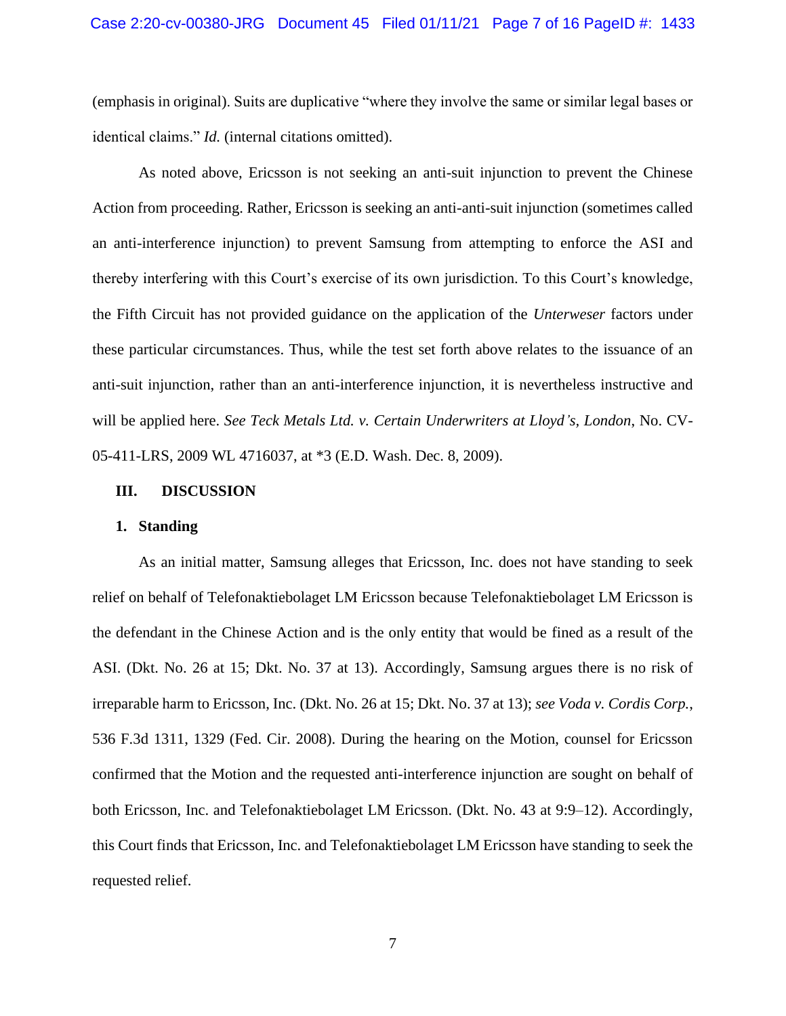(emphasis in original). Suits are duplicative "where they involve the same or similar legal bases or identical claims." *Id.* (internal citations omitted).

As noted above, Ericsson is not seeking an anti-suit injunction to prevent the Chinese Action from proceeding. Rather, Ericsson is seeking an anti-anti-suit injunction (sometimes called an anti-interference injunction) to prevent Samsung from attempting to enforce the ASI and thereby interfering with this Court's exercise of its own jurisdiction. To this Court's knowledge, the Fifth Circuit has not provided guidance on the application of the *Unterweser* factors under these particular circumstances. Thus, while the test set forth above relates to the issuance of an anti-suit injunction, rather than an anti-interference injunction, it is nevertheless instructive and will be applied here. *See Teck Metals Ltd. v. Certain Underwriters at Lloyd's, London*, No. CV-05-411-LRS, 2009 WL 4716037, at \*3 (E.D. Wash. Dec. 8, 2009).

#### **III. DISCUSSION**

#### **1. Standing**

As an initial matter, Samsung alleges that Ericsson, Inc. does not have standing to seek relief on behalf of Telefonaktiebolaget LM Ericsson because Telefonaktiebolaget LM Ericsson is the defendant in the Chinese Action and is the only entity that would be fined as a result of the ASI. (Dkt. No. 26 at 15; Dkt. No. 37 at 13). Accordingly, Samsung argues there is no risk of irreparable harm to Ericsson, Inc. (Dkt. No. 26 at 15; Dkt. No. 37 at 13); *see Voda v. Cordis Corp.*, 536 F.3d 1311, 1329 (Fed. Cir. 2008). During the hearing on the Motion, counsel for Ericsson confirmed that the Motion and the requested anti-interference injunction are sought on behalf of both Ericsson, Inc. and Telefonaktiebolaget LM Ericsson. (Dkt. No. 43 at 9:9–12). Accordingly, this Court finds that Ericsson, Inc. and Telefonaktiebolaget LM Ericsson have standing to seek the requested relief.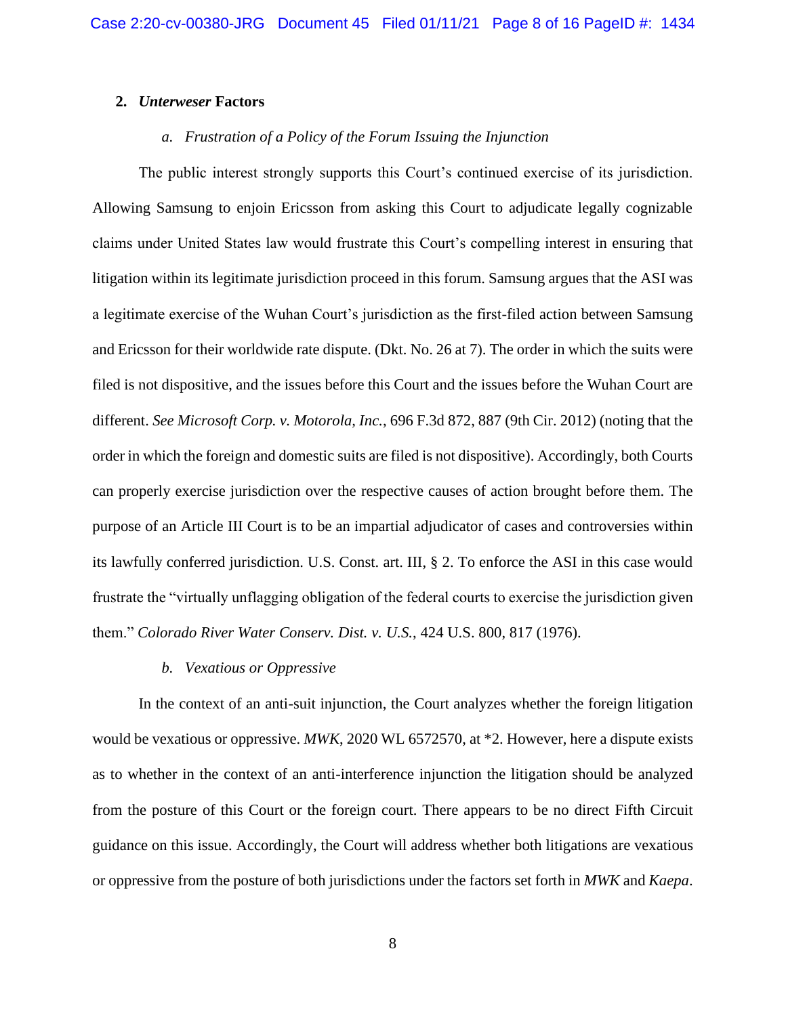### **2.** *Unterweser* **Factors**

# *a. Frustration of a Policy of the Forum Issuing the Injunction*

The public interest strongly supports this Court's continued exercise of its jurisdiction. Allowing Samsung to enjoin Ericsson from asking this Court to adjudicate legally cognizable claims under United States law would frustrate this Court's compelling interest in ensuring that litigation within its legitimate jurisdiction proceed in this forum. Samsung argues that the ASI was a legitimate exercise of the Wuhan Court's jurisdiction as the first-filed action between Samsung and Ericsson for their worldwide rate dispute. (Dkt. No. 26 at 7). The order in which the suits were filed is not dispositive, and the issues before this Court and the issues before the Wuhan Court are different. *See Microsoft Corp. v. Motorola, Inc.*, 696 F.3d 872, 887 (9th Cir. 2012) (noting that the order in which the foreign and domestic suits are filed is not dispositive). Accordingly, both Courts can properly exercise jurisdiction over the respective causes of action brought before them. The purpose of an Article III Court is to be an impartial adjudicator of cases and controversies within its lawfully conferred jurisdiction. U.S. Const. art. III, § 2. To enforce the ASI in this case would frustrate the "virtually unflagging obligation of the federal courts to exercise the jurisdiction given them." *Colorado River Water Conserv. Dist. v. U.S.*, 424 U.S. 800, 817 (1976).

#### *b. Vexatious or Oppressive*

In the context of an anti-suit injunction, the Court analyzes whether the foreign litigation would be vexatious or oppressive. *MWK*, 2020 WL 6572570, at \*2. However, here a dispute exists as to whether in the context of an anti-interference injunction the litigation should be analyzed from the posture of this Court or the foreign court. There appears to be no direct Fifth Circuit guidance on this issue. Accordingly, the Court will address whether both litigations are vexatious or oppressive from the posture of both jurisdictions under the factors set forth in *MWK* and *Kaepa*.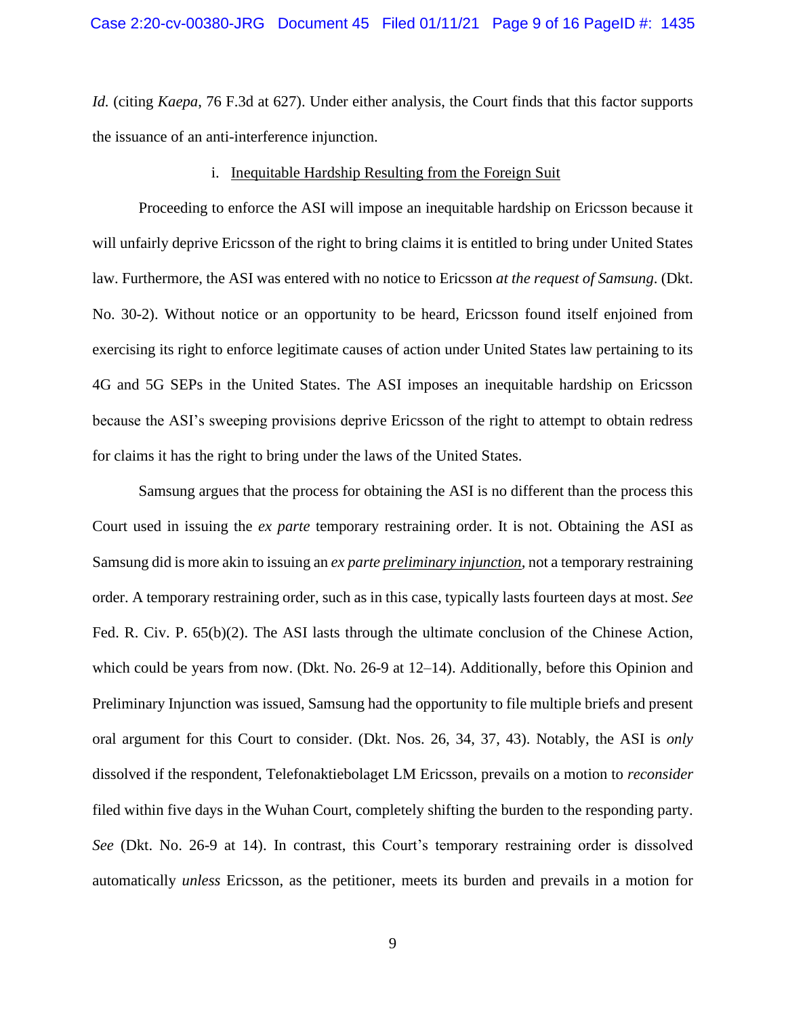*Id.* (citing *Kaepa*, 76 F.3d at 627). Under either analysis, the Court finds that this factor supports the issuance of an anti-interference injunction.

#### i. Inequitable Hardship Resulting from the Foreign Suit

Proceeding to enforce the ASI will impose an inequitable hardship on Ericsson because it will unfairly deprive Ericsson of the right to bring claims it is entitled to bring under United States law. Furthermore, the ASI was entered with no notice to Ericsson *at the request of Samsung*. (Dkt. No. 30-2). Without notice or an opportunity to be heard, Ericsson found itself enjoined from exercising its right to enforce legitimate causes of action under United States law pertaining to its 4G and 5G SEPs in the United States. The ASI imposes an inequitable hardship on Ericsson because the ASI's sweeping provisions deprive Ericsson of the right to attempt to obtain redress for claims it has the right to bring under the laws of the United States.

Samsung argues that the process for obtaining the ASI is no different than the process this Court used in issuing the *ex parte* temporary restraining order. It is not. Obtaining the ASI as Samsung did is more akin to issuing an *ex parte preliminary injunction*, not a temporary restraining order. A temporary restraining order, such as in this case, typically lasts fourteen days at most. *See* Fed. R. Civ. P. 65(b)(2). The ASI lasts through the ultimate conclusion of the Chinese Action, which could be years from now. (Dkt. No. 26-9 at 12–14). Additionally, before this Opinion and Preliminary Injunction was issued, Samsung had the opportunity to file multiple briefs and present oral argument for this Court to consider. (Dkt. Nos. 26, 34, 37, 43). Notably, the ASI is *only* dissolved if the respondent, Telefonaktiebolaget LM Ericsson, prevails on a motion to *reconsider* filed within five days in the Wuhan Court, completely shifting the burden to the responding party. *See* (Dkt. No. 26-9 at 14). In contrast, this Court's temporary restraining order is dissolved automatically *unless* Ericsson, as the petitioner, meets its burden and prevails in a motion for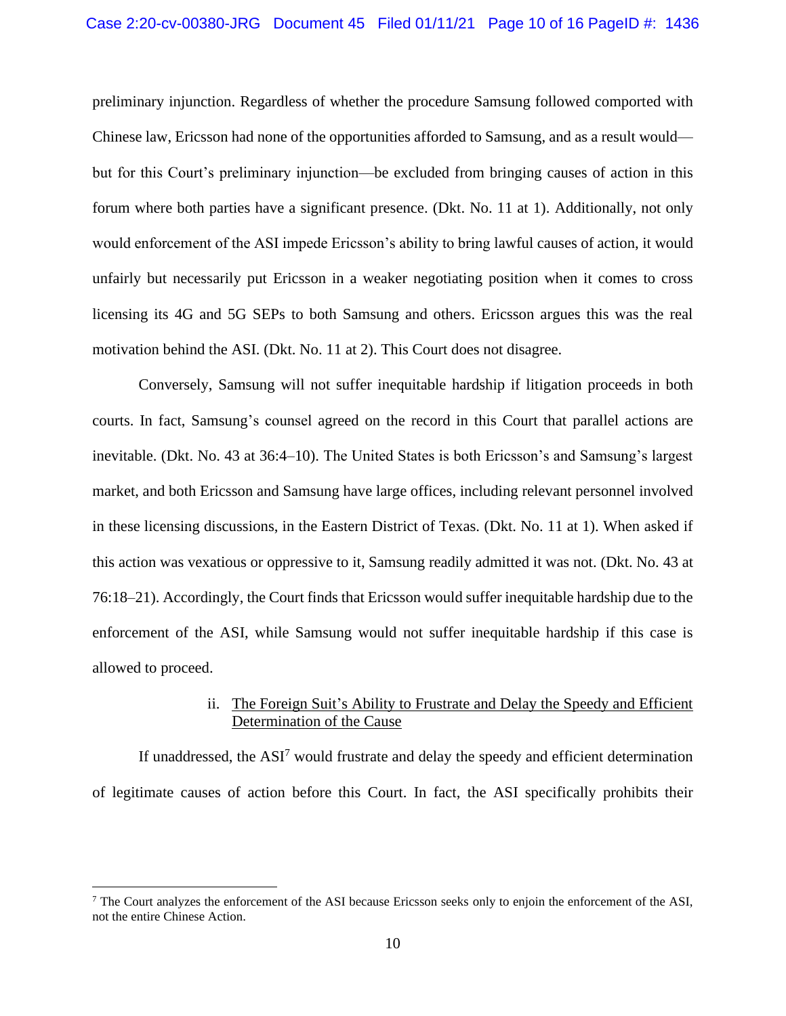preliminary injunction. Regardless of whether the procedure Samsung followed comported with Chinese law, Ericsson had none of the opportunities afforded to Samsung, and as a result would but for this Court's preliminary injunction—be excluded from bringing causes of action in this forum where both parties have a significant presence. (Dkt. No. 11 at 1). Additionally, not only would enforcement of the ASI impede Ericsson's ability to bring lawful causes of action, it would unfairly but necessarily put Ericsson in a weaker negotiating position when it comes to cross licensing its 4G and 5G SEPs to both Samsung and others. Ericsson argues this was the real motivation behind the ASI. (Dkt. No. 11 at 2). This Court does not disagree.

Conversely, Samsung will not suffer inequitable hardship if litigation proceeds in both courts. In fact, Samsung's counsel agreed on the record in this Court that parallel actions are inevitable. (Dkt. No. 43 at 36:4–10). The United States is both Ericsson's and Samsung's largest market, and both Ericsson and Samsung have large offices, including relevant personnel involved in these licensing discussions, in the Eastern District of Texas. (Dkt. No. 11 at 1). When asked if this action was vexatious or oppressive to it, Samsung readily admitted it was not. (Dkt. No. 43 at 76:18–21). Accordingly, the Court finds that Ericsson would suffer inequitable hardship due to the enforcement of the ASI, while Samsung would not suffer inequitable hardship if this case is allowed to proceed.

## ii. The Foreign Suit's Ability to Frustrate and Delay the Speedy and Efficient Determination of the Cause

If unaddressed, the  $ASI<sup>7</sup>$  would frustrate and delay the speedy and efficient determination of legitimate causes of action before this Court. In fact, the ASI specifically prohibits their

 $<sup>7</sup>$  The Court analyzes the enforcement of the ASI because Ericsson seeks only to enjoin the enforcement of the ASI,</sup> not the entire Chinese Action.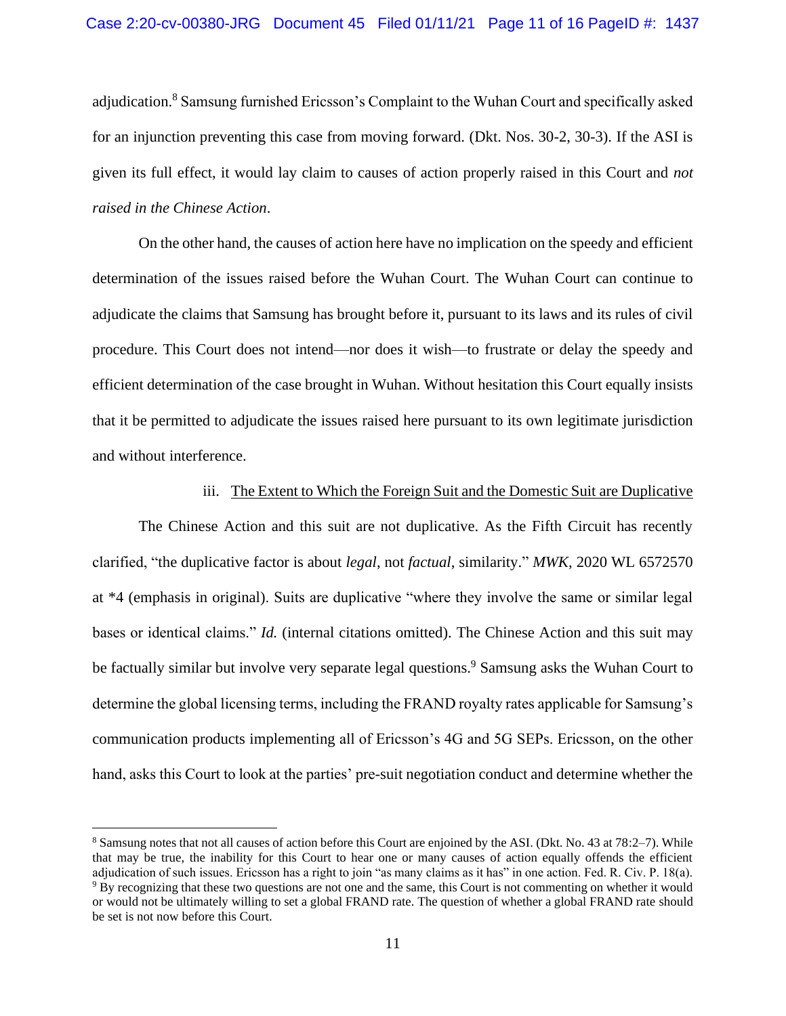adjudication.<sup>8</sup> Samsung furnished Ericsson's Complaint to the Wuhan Court and specifically asked for an injunction preventing this case from moving forward. (Dkt. Nos. 30-2, 30-3). If the ASI is given its full effect, it would lay claim to causes of action properly raised in this Court and *not raised in the Chinese Action*.

On the other hand, the causes of action here have no implication on the speedy and efficient determination of the issues raised before the Wuhan Court. The Wuhan Court can continue to adjudicate the claims that Samsung has brought before it, pursuant to its laws and its rules of civil procedure. This Court does not intend—nor does it wish—to frustrate or delay the speedy and efficient determination of the case brought in Wuhan. Without hesitation this Court equally insists that it be permitted to adjudicate the issues raised here pursuant to its own legitimate jurisdiction and without interference.

#### iii. The Extent to Which the Foreign Suit and the Domestic Suit are Duplicative

The Chinese Action and this suit are not duplicative. As the Fifth Circuit has recently clarified, "the duplicative factor is about *legal*, not *factual*, similarity." *MWK*, 2020 WL 6572570 at \*4 (emphasis in original). Suits are duplicative "where they involve the same or similar legal bases or identical claims." *Id.* (internal citations omitted). The Chinese Action and this suit may be factually similar but involve very separate legal questions.<sup>9</sup> Samsung asks the Wuhan Court to determine the global licensing terms, including the FRAND royalty rates applicable for Samsung's communication products implementing all of Ericsson's 4G and 5G SEPs. Ericsson, on the other hand, asks this Court to look at the parties' pre-suit negotiation conduct and determine whether the

<sup>8</sup> Samsung notes that not all causes of action before this Court are enjoined by the ASI. (Dkt. No. 43 at 78:2–7). While that may be true, the inability for this Court to hear one or many causes of action equally offends the efficient adjudication of such issues. Ericsson has a right to join "as many claims as it has" in one action. Fed. R. Civ. P. 18(a). <sup>9</sup> By recognizing that these two questions are not one and the same, this Court is not commenting on whether it would or would not be ultimately willing to set a global FRAND rate. The question of whether a global FRAND rate should be set is not now before this Court.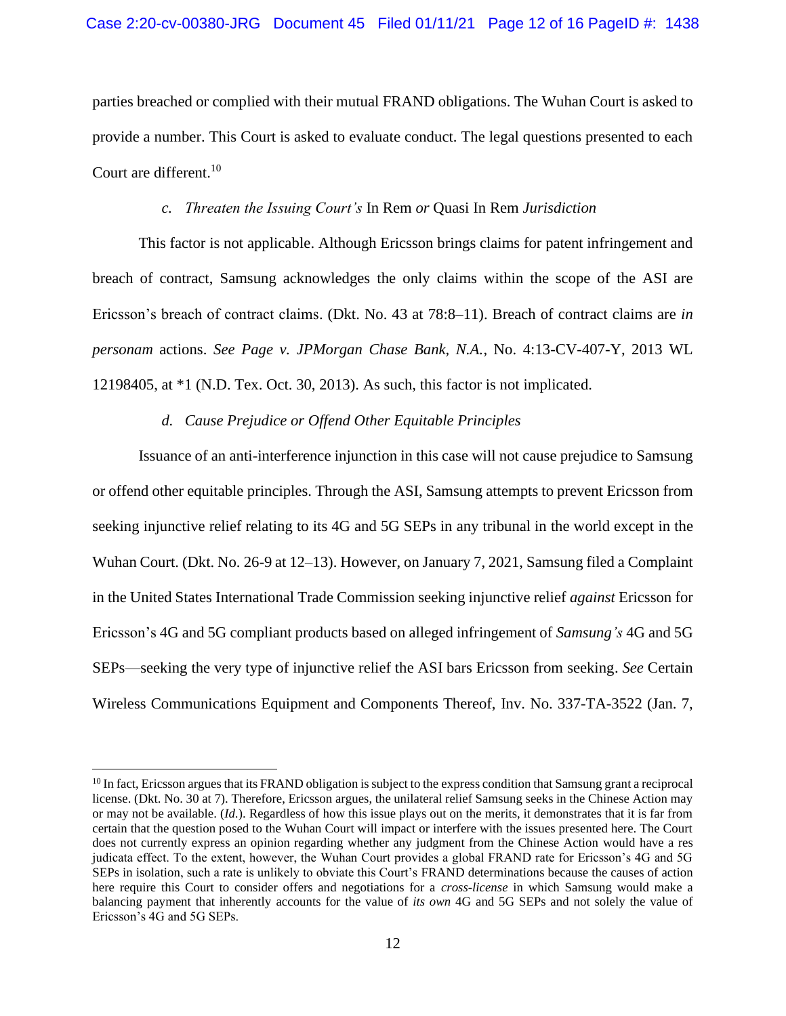parties breached or complied with their mutual FRAND obligations. The Wuhan Court is asked to provide a number. This Court is asked to evaluate conduct. The legal questions presented to each Court are different. 10

### *c. Threaten the Issuing Court's* In Rem *or* Quasi In Rem *Jurisdiction*

This factor is not applicable. Although Ericsson brings claims for patent infringement and breach of contract, Samsung acknowledges the only claims within the scope of the ASI are Ericsson's breach of contract claims. (Dkt. No. 43 at 78:8–11). Breach of contract claims are *in personam* actions. *See Page v. JPMorgan Chase Bank, N.A.*, No. 4:13-CV-407-Y, 2013 WL 12198405, at \*1 (N.D. Tex. Oct. 30, 2013). As such, this factor is not implicated.

### *d. Cause Prejudice or Offend Other Equitable Principles*

Issuance of an anti-interference injunction in this case will not cause prejudice to Samsung or offend other equitable principles. Through the ASI, Samsung attempts to prevent Ericsson from seeking injunctive relief relating to its 4G and 5G SEPs in any tribunal in the world except in the Wuhan Court. (Dkt. No. 26-9 at 12–13). However, on January 7, 2021, Samsung filed a Complaint in the United States International Trade Commission seeking injunctive relief *against* Ericsson for Ericsson's 4G and 5G compliant products based on alleged infringement of *Samsung's* 4G and 5G SEPs—seeking the very type of injunctive relief the ASI bars Ericsson from seeking. *See* Certain Wireless Communications Equipment and Components Thereof, Inv. No. 337-TA-3522 (Jan. 7,

 $10$  In fact, Ericsson argues that its FRAND obligation is subject to the express condition that Samsung grant a reciprocal license. (Dkt. No. 30 at 7). Therefore, Ericsson argues, the unilateral relief Samsung seeks in the Chinese Action may or may not be available. (*Id.*). Regardless of how this issue plays out on the merits, it demonstrates that it is far from certain that the question posed to the Wuhan Court will impact or interfere with the issues presented here. The Court does not currently express an opinion regarding whether any judgment from the Chinese Action would have a res judicata effect. To the extent, however, the Wuhan Court provides a global FRAND rate for Ericsson's 4G and 5G SEPs in isolation, such a rate is unlikely to obviate this Court's FRAND determinations because the causes of action here require this Court to consider offers and negotiations for a *cross-license* in which Samsung would make a balancing payment that inherently accounts for the value of *its own* 4G and 5G SEPs and not solely the value of Ericsson's 4G and 5G SEPs.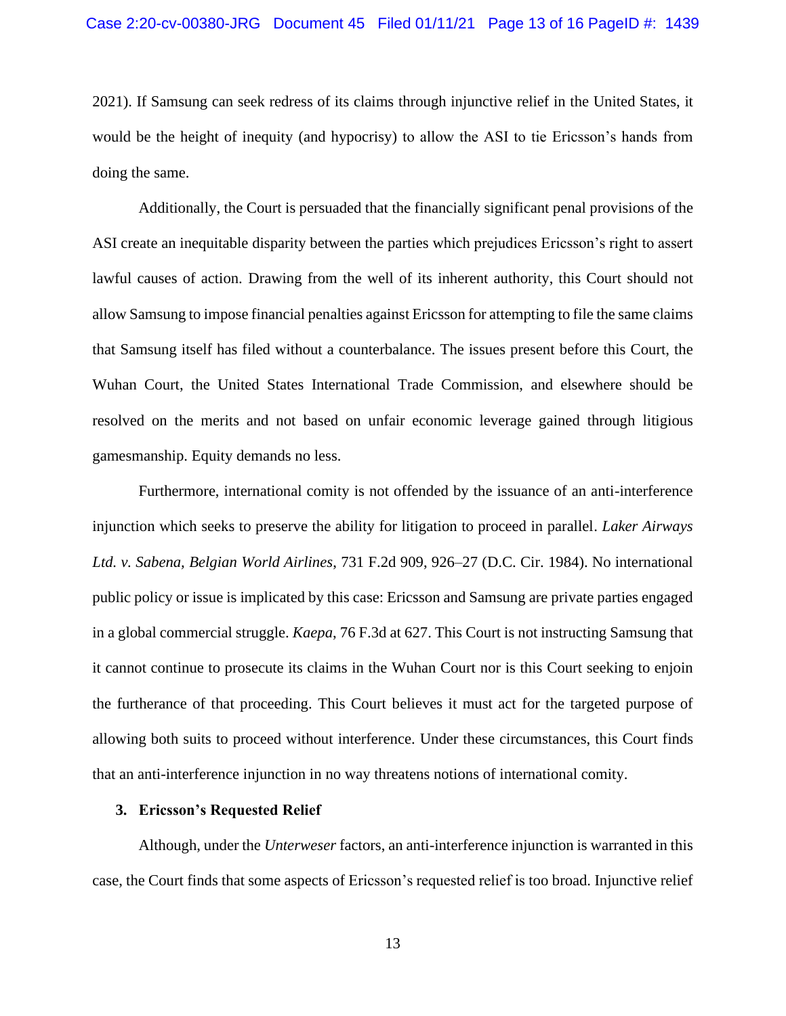2021). If Samsung can seek redress of its claims through injunctive relief in the United States, it would be the height of inequity (and hypocrisy) to allow the ASI to tie Ericsson's hands from doing the same.

Additionally, the Court is persuaded that the financially significant penal provisions of the ASI create an inequitable disparity between the parties which prejudices Ericsson's right to assert lawful causes of action. Drawing from the well of its inherent authority, this Court should not allow Samsung to impose financial penalties against Ericsson for attempting to file the same claims that Samsung itself has filed without a counterbalance. The issues present before this Court, the Wuhan Court, the United States International Trade Commission, and elsewhere should be resolved on the merits and not based on unfair economic leverage gained through litigious gamesmanship. Equity demands no less.

Furthermore, international comity is not offended by the issuance of an anti-interference injunction which seeks to preserve the ability for litigation to proceed in parallel. *Laker Airways Ltd. v. Sabena, Belgian World Airlines*, 731 F.2d 909, 926–27 (D.C. Cir. 1984). No international public policy or issue is implicated by this case: Ericsson and Samsung are private parties engaged in a global commercial struggle. *Kaepa*, 76 F.3d at 627. This Court is not instructing Samsung that it cannot continue to prosecute its claims in the Wuhan Court nor is this Court seeking to enjoin the furtherance of that proceeding. This Court believes it must act for the targeted purpose of allowing both suits to proceed without interference. Under these circumstances, this Court finds that an anti-interference injunction in no way threatens notions of international comity.

#### **3. Ericsson's Requested Relief**

Although, under the *Unterweser* factors, an anti-interference injunction is warranted in this case, the Court finds that some aspects of Ericsson's requested relief is too broad. Injunctive relief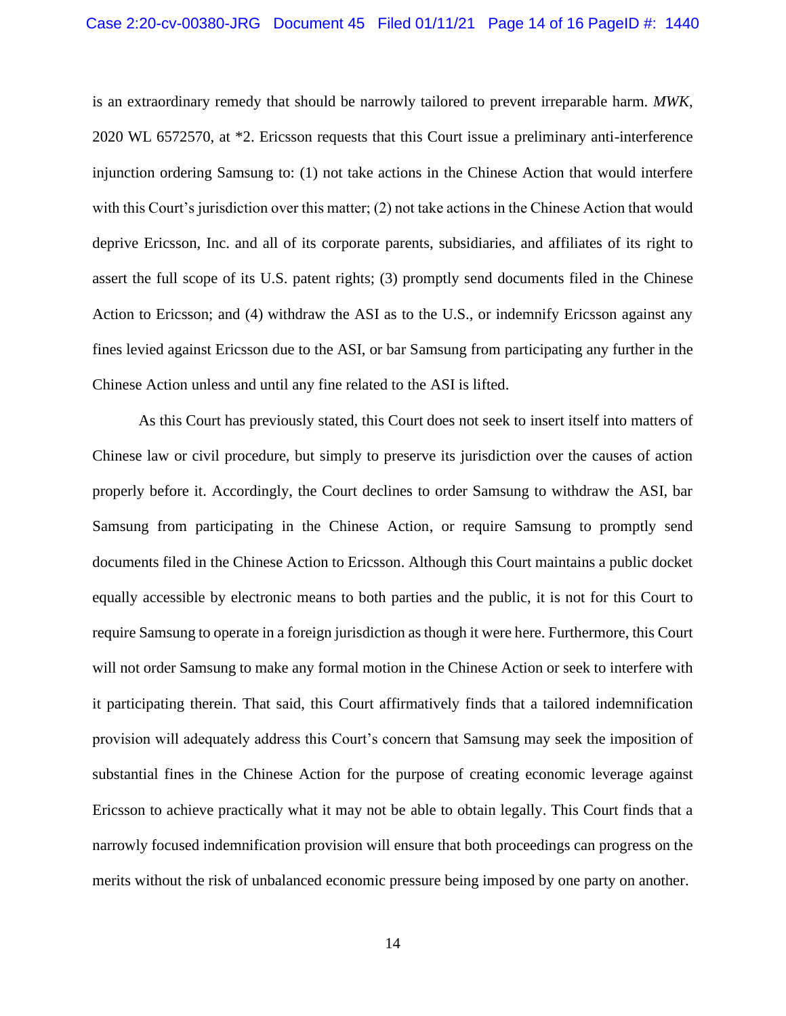is an extraordinary remedy that should be narrowly tailored to prevent irreparable harm. *MWK*, 2020 WL 6572570, at \*2. Ericsson requests that this Court issue a preliminary anti-interference injunction ordering Samsung to: (1) not take actions in the Chinese Action that would interfere with this Court's jurisdiction over this matter; (2) not take actions in the Chinese Action that would deprive Ericsson, Inc. and all of its corporate parents, subsidiaries, and affiliates of its right to assert the full scope of its U.S. patent rights; (3) promptly send documents filed in the Chinese Action to Ericsson; and (4) withdraw the ASI as to the U.S., or indemnify Ericsson against any fines levied against Ericsson due to the ASI, or bar Samsung from participating any further in the Chinese Action unless and until any fine related to the ASI is lifted.

As this Court has previously stated, this Court does not seek to insert itself into matters of Chinese law or civil procedure, but simply to preserve its jurisdiction over the causes of action properly before it. Accordingly, the Court declines to order Samsung to withdraw the ASI, bar Samsung from participating in the Chinese Action, or require Samsung to promptly send documents filed in the Chinese Action to Ericsson. Although this Court maintains a public docket equally accessible by electronic means to both parties and the public, it is not for this Court to require Samsung to operate in a foreign jurisdiction as though it were here. Furthermore, this Court will not order Samsung to make any formal motion in the Chinese Action or seek to interfere with it participating therein. That said, this Court affirmatively finds that a tailored indemnification provision will adequately address this Court's concern that Samsung may seek the imposition of substantial fines in the Chinese Action for the purpose of creating economic leverage against Ericsson to achieve practically what it may not be able to obtain legally. This Court finds that a narrowly focused indemnification provision will ensure that both proceedings can progress on the merits without the risk of unbalanced economic pressure being imposed by one party on another.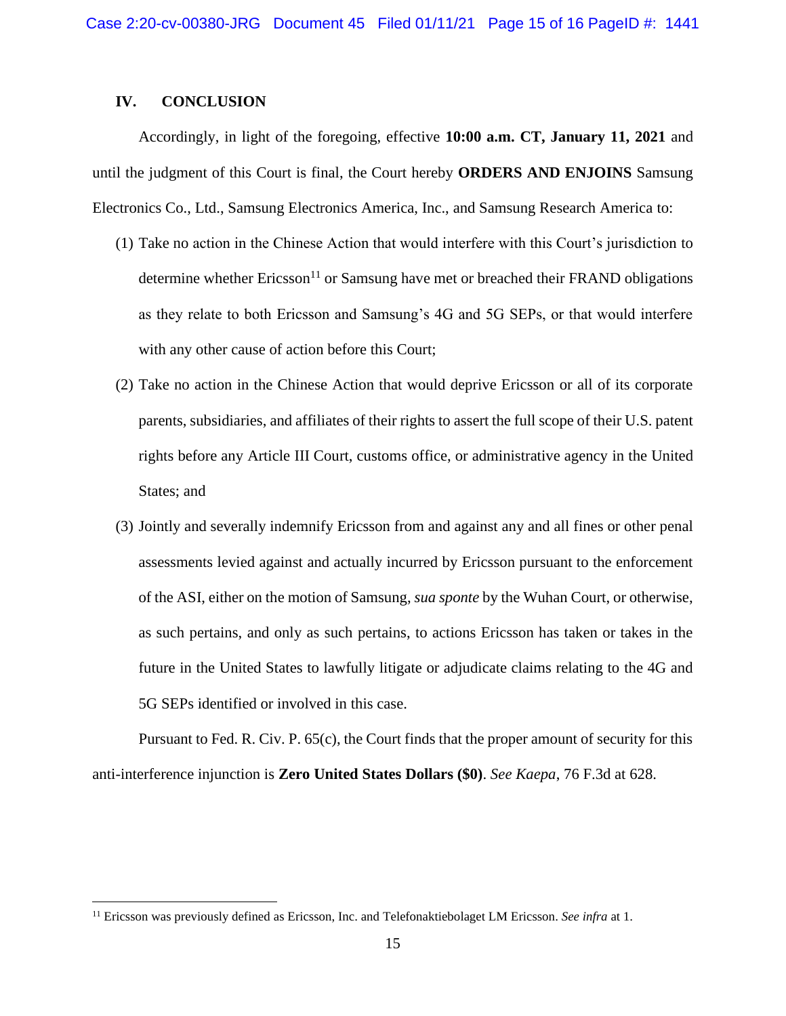# **IV. CONCLUSION**

Accordingly, in light of the foregoing, effective **10:00 a.m. CT, January 11, 2021** and until the judgment of this Court is final, the Court hereby **ORDERS AND ENJOINS** Samsung Electronics Co., Ltd., Samsung Electronics America, Inc., and Samsung Research America to:

- (1) Take no action in the Chinese Action that would interfere with this Court's jurisdiction to determine whether  $Ericsson<sup>11</sup>$  or Samsung have met or breached their FRAND obligations as they relate to both Ericsson and Samsung's 4G and 5G SEPs, or that would interfere with any other cause of action before this Court;
- (2) Take no action in the Chinese Action that would deprive Ericsson or all of its corporate parents, subsidiaries, and affiliates of their rights to assert the full scope of their U.S. patent rights before any Article III Court, customs office, or administrative agency in the United States; and
- (3) Jointly and severally indemnify Ericsson from and against any and all fines or other penal assessments levied against and actually incurred by Ericsson pursuant to the enforcement of the ASI, either on the motion of Samsung, *sua sponte* by the Wuhan Court, or otherwise, as such pertains, and only as such pertains, to actions Ericsson has taken or takes in the future in the United States to lawfully litigate or adjudicate claims relating to the 4G and 5G SEPs identified or involved in this case.

Pursuant to Fed. R. Civ. P. 65(c), the Court finds that the proper amount of security for this anti-interference injunction is **Zero United States Dollars (\$0)**. *See Kaepa*, 76 F.3d at 628.

<sup>11</sup> Ericsson was previously defined as Ericsson, Inc. and Telefonaktiebolaget LM Ericsson. *See infra* at 1.